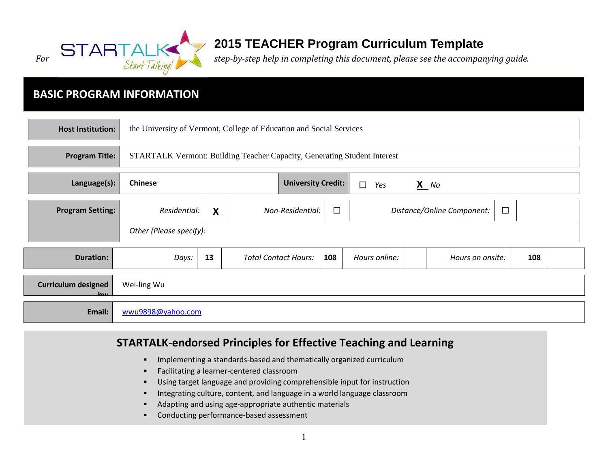

# **2015 TEACHER Program Curriculum Template**

## **BASIC PROGRAM INFORMATION**

| <b>Host Institution:</b>               |                         |                                                                          | the University of Vermont, College of Education and Social Services |                           |               |                            |        |     |  |
|----------------------------------------|-------------------------|--------------------------------------------------------------------------|---------------------------------------------------------------------|---------------------------|---------------|----------------------------|--------|-----|--|
| <b>Program Title:</b>                  |                         | STARTALK Vermont: Building Teacher Capacity, Generating Student Interest |                                                                     |                           |               |                            |        |     |  |
| Language(s):                           | <b>Chinese</b>          |                                                                          |                                                                     | <b>University Credit:</b> | $\Box$<br>Yes | $X$ No                     |        |     |  |
| <b>Program Setting:</b>                | Residential:            | $\boldsymbol{\mathsf{X}}$                                                | Non-Residential:                                                    | $\Box$                    |               | Distance/Online Component: | $\Box$ |     |  |
|                                        | Other (Please specify): |                                                                          |                                                                     |                           |               |                            |        |     |  |
| <b>Duration:</b>                       | Days:                   | 13                                                                       | <b>Total Contact Hours:</b>                                         | 108                       | Hours online: | Hours on onsite:           |        | 108 |  |
| <b>Curriculum designed</b><br>$\cdots$ | Wei-ling Wu             |                                                                          |                                                                     |                           |               |                            |        |     |  |
| Email:                                 | wwu9898@yahoo.com       |                                                                          |                                                                     |                           |               |                            |        |     |  |

### **STARTALK-endorsed Principles for Effective Teaching and Learning**

- **IMPLEMENTED ATTES INTERFEDED FIRTH** Implementing a standards-based and thematically organized curriculum
- **Facilitating a learner-centered classroom**
- Using target language and providing comprehensible input for instruction
- **Integrating culture, content, and language in a world language classroom**
- Adapting and using age-appropriate authentic materials
- **•** Conducting performance-based assessment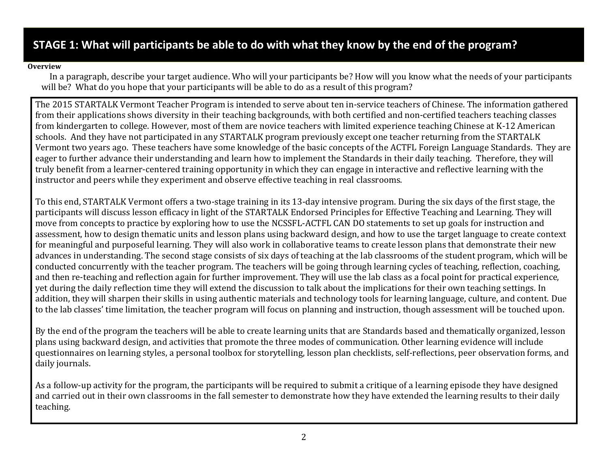## **STAGE 1: What will participants be able to do with what they know by the end of the program?**

#### **Overview**

In a paragraph, describe your target audience. Who will your participants be? How will you know what the needs of your participants will be? What do you hope that your participants will be able to do as a result of this program?

The 2015 STARTALK Vermont Teacher Program is intended to serve about ten in-service teachers of Chinese. The information gathered from their applications shows diversity in their teaching backgrounds, with both certified and non-certified teachers teaching classes from kindergarten to college. However, most of them are novice teachers with limited experience teaching Chinese at K-12 American schools. And they have not participated in any STARTALK program previously except one teacher returning from the STARTALK Vermont two years ago. These teachers have some knowledge of the basic concepts of the ACTFL Foreign Language Standards. They are eager to further advance their understanding and learn how to implement the Standards in their daily teaching. Therefore, they will truly benefit from a learner-centered training opportunity in which they can engage in interactive and reflective learning with the instructor and peers while they experiment and observe effective teaching in real classrooms.

To this end, STARTALK Vermont offers a two-stage training in its 13-day intensive program. During the six days of the first stage, the participants will discuss lesson efficacy in light of the STARTALK Endorsed Principles for Effective Teaching and Learning. They will move from concepts to practice by exploring how to use the NCSSFL-ACTFL CAN DO statements to set up goals for instruction and assessment, how to design thematic units and lesson plans using backward design, and how to use the target language to create context for meaningful and purposeful learning. They will also work in collaborative teams to create lesson plans that demonstrate their new advances in understanding. The second stage consists of six days of teaching at the lab classrooms of the student program, which will be conducted concurrently with the teacher program. The teachers will be going through learning cycles of teaching, reflection, coaching, and then re-teaching and reflection again for further improvement. They will use the lab class as a focal point for practical experience, yet during the daily reflection time they will extend the discussion to talk about the implications for their own teaching settings. In addition, they will sharpen their skills in using authentic materials and technology tools for learning language, culture, and content. Due to the lab classes' time limitation, the teacher program will focus on planning and instruction, though assessment will be touched upon.

By the end of the program the teachers will be able to create learning units that are Standards based and thematically organized, lesson plans using backward design, and activities that promote the three modes of communication. Other learning evidence will include questionnaires on learning styles, a personal toolbox for storytelling, lesson plan checklists, self-reflections, peer observation forms, and daily journals.

As a follow-up activity for the program, the participants will be required to submit a critique of a learning episode they have designed and carried out in their own classrooms in the fall semester to demonstrate how they have extended the learning results to their daily teaching.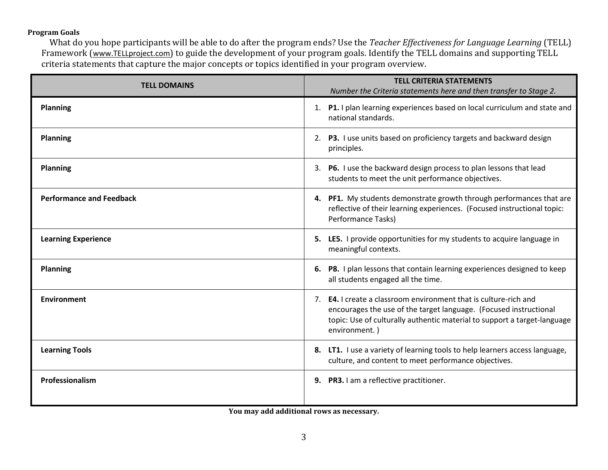#### **Program Goals**

What do you hope participants will be able to do after the program ends? Use the *Teacher Effectiveness for Language Learning* (TELL) Framework ([www.TELLproject.com](http://www.tellproject.com/)) to guide the development of your program goals. Identify the TELL domains and supporting TELL criteria statements that capture the major concepts or topics identified in your program overview.

| <b>TELL DOMAINS</b>             | <b>TELL CRITERIA STATEMENTS</b><br>Number the Criteria statements here and then transfer to Stage 2.                                                                                                                                      |
|---------------------------------|-------------------------------------------------------------------------------------------------------------------------------------------------------------------------------------------------------------------------------------------|
| <b>Planning</b>                 | 1. P1. I plan learning experiences based on local curriculum and state and<br>national standards.                                                                                                                                         |
| <b>Planning</b>                 | 2. P3. I use units based on proficiency targets and backward design<br>principles.                                                                                                                                                        |
| <b>Planning</b>                 | 3. P6. I use the backward design process to plan lessons that lead<br>students to meet the unit performance objectives.                                                                                                                   |
| <b>Performance and Feedback</b> | 4. PF1. My students demonstrate growth through performances that are<br>reflective of their learning experiences. (Focused instructional topic:<br>Performance Tasks)                                                                     |
| <b>Learning Experience</b>      | 5. LE5. I provide opportunities for my students to acquire language in<br>meaningful contexts.                                                                                                                                            |
| <b>Planning</b>                 | 6. P8. I plan lessons that contain learning experiences designed to keep<br>all students engaged all the time.                                                                                                                            |
| <b>Environment</b>              | 7. <b>E4.</b> I create a classroom environment that is culture-rich and<br>encourages the use of the target language. (Focused instructional<br>topic: Use of culturally authentic material to support a target-language<br>environment.) |
| <b>Learning Tools</b>           | 8. LT1. I use a variety of learning tools to help learners access language,<br>culture, and content to meet performance objectives.                                                                                                       |
| Professionalism                 | 9. PR3. I am a reflective practitioner.                                                                                                                                                                                                   |

**You may add additional rows as necessary.**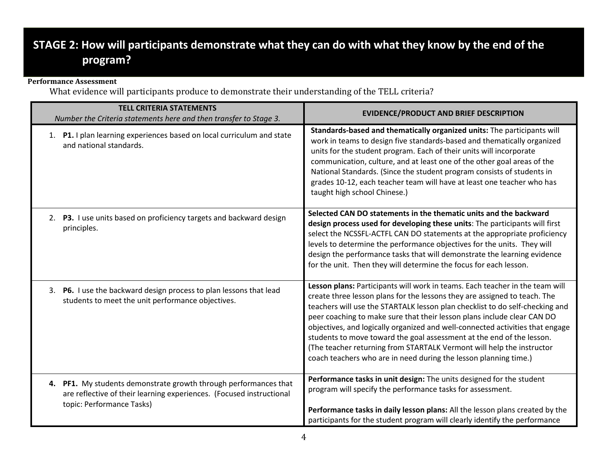# **STAGE 2: How will participants demonstrate what they can do with what they know by the end of the program?**

#### **Performance Assessment**

What evidence will participants produce to demonstrate their understanding of the TELL criteria?

| <b>TELL CRITERIA STATEMENTS</b><br>Number the Criteria statements here and then transfer to Stage 3.                                                                     | <b>EVIDENCE/PRODUCT AND BRIEF DESCRIPTION</b>                                                                                                                                                                                                                                                                                                                                                                                                                                                                                                                                                                               |
|--------------------------------------------------------------------------------------------------------------------------------------------------------------------------|-----------------------------------------------------------------------------------------------------------------------------------------------------------------------------------------------------------------------------------------------------------------------------------------------------------------------------------------------------------------------------------------------------------------------------------------------------------------------------------------------------------------------------------------------------------------------------------------------------------------------------|
| 1. P1. I plan learning experiences based on local curriculum and state<br>and national standards.                                                                        | Standards-based and thematically organized units: The participants will<br>work in teams to design five standards-based and thematically organized<br>units for the student program. Each of their units will incorporate<br>communication, culture, and at least one of the other goal areas of the<br>National Standards. (Since the student program consists of students in<br>grades 10-12, each teacher team will have at least one teacher who has<br>taught high school Chinese.)                                                                                                                                    |
| 2. P3. I use units based on proficiency targets and backward design<br>principles.                                                                                       | Selected CAN DO statements in the thematic units and the backward<br>design process used for developing these units: The participants will first<br>select the NCSSFL-ACTFL CAN DO statements at the appropriate proficiency<br>levels to determine the performance objectives for the units. They will<br>design the performance tasks that will demonstrate the learning evidence<br>for the unit. Then they will determine the focus for each lesson.                                                                                                                                                                    |
| 3. P6. I use the backward design process to plan lessons that lead<br>students to meet the unit performance objectives.                                                  | Lesson plans: Participants will work in teams. Each teacher in the team will<br>create three lesson plans for the lessons they are assigned to teach. The<br>teachers will use the STARTALK lesson plan checklist to do self-checking and<br>peer coaching to make sure that their lesson plans include clear CAN DO<br>objectives, and logically organized and well-connected activities that engage<br>students to move toward the goal assessment at the end of the lesson.<br>(The teacher returning from STARTALK Vermont will help the instructor<br>coach teachers who are in need during the lesson planning time.) |
| PF1. My students demonstrate growth through performances that<br>4.<br>are reflective of their learning experiences. (Focused instructional<br>topic: Performance Tasks) | Performance tasks in unit design: The units designed for the student<br>program will specify the performance tasks for assessment.<br>Performance tasks in daily lesson plans: All the lesson plans created by the<br>participants for the student program will clearly identify the performance                                                                                                                                                                                                                                                                                                                            |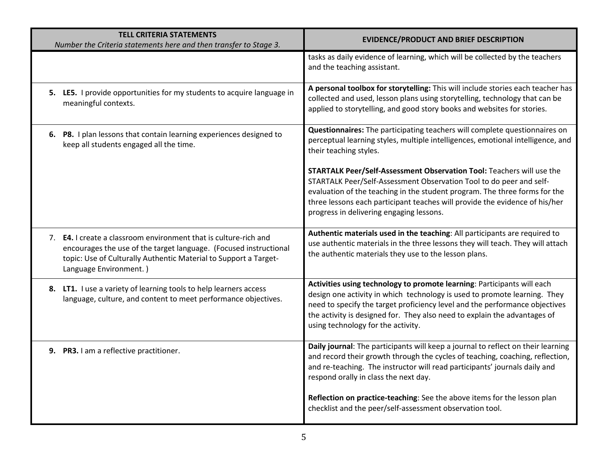| <b>TELL CRITERIA STATEMENTS</b><br>Number the Criteria statements here and then transfer to Stage 3.                                                                                                                                | <b>EVIDENCE/PRODUCT AND BRIEF DESCRIPTION</b>                                                                                                                                                                                                                                                                                                          |
|-------------------------------------------------------------------------------------------------------------------------------------------------------------------------------------------------------------------------------------|--------------------------------------------------------------------------------------------------------------------------------------------------------------------------------------------------------------------------------------------------------------------------------------------------------------------------------------------------------|
|                                                                                                                                                                                                                                     | tasks as daily evidence of learning, which will be collected by the teachers<br>and the teaching assistant.                                                                                                                                                                                                                                            |
| 5. LE5. I provide opportunities for my students to acquire language in<br>meaningful contexts.                                                                                                                                      | A personal toolbox for storytelling: This will include stories each teacher has<br>collected and used, lesson plans using storytelling, technology that can be<br>applied to storytelling, and good story books and websites for stories.                                                                                                              |
| 6. P8. I plan lessons that contain learning experiences designed to<br>keep all students engaged all the time.                                                                                                                      | Questionnaires: The participating teachers will complete questionnaires on<br>perceptual learning styles, multiple intelligences, emotional intelligence, and<br>their teaching styles.                                                                                                                                                                |
|                                                                                                                                                                                                                                     | STARTALK Peer/Self-Assessment Observation Tool: Teachers will use the<br>STARTALK Peer/Self-Assessment Observation Tool to do peer and self-<br>evaluation of the teaching in the student program. The three forms for the<br>three lessons each participant teaches will provide the evidence of his/her<br>progress in delivering engaging lessons.  |
| 7. E4. I create a classroom environment that is culture-rich and<br>encourages the use of the target language. (Focused instructional<br>topic: Use of Culturally Authentic Material to Support a Target-<br>Language Environment.) | Authentic materials used in the teaching: All participants are required to<br>use authentic materials in the three lessons they will teach. They will attach<br>the authentic materials they use to the lesson plans.                                                                                                                                  |
| 8. LT1. I use a variety of learning tools to help learners access<br>language, culture, and content to meet performance objectives.                                                                                                 | Activities using technology to promote learning: Participants will each<br>design one activity in which technology is used to promote learning. They<br>need to specify the target proficiency level and the performance objectives<br>the activity is designed for. They also need to explain the advantages of<br>using technology for the activity. |
| 9. PR3. I am a reflective practitioner.                                                                                                                                                                                             | Daily journal: The participants will keep a journal to reflect on their learning<br>and record their growth through the cycles of teaching, coaching, reflection,<br>and re-teaching. The instructor will read participants' journals daily and<br>respond orally in class the next day.                                                               |
|                                                                                                                                                                                                                                     | Reflection on practice-teaching: See the above items for the lesson plan<br>checklist and the peer/self-assessment observation tool.                                                                                                                                                                                                                   |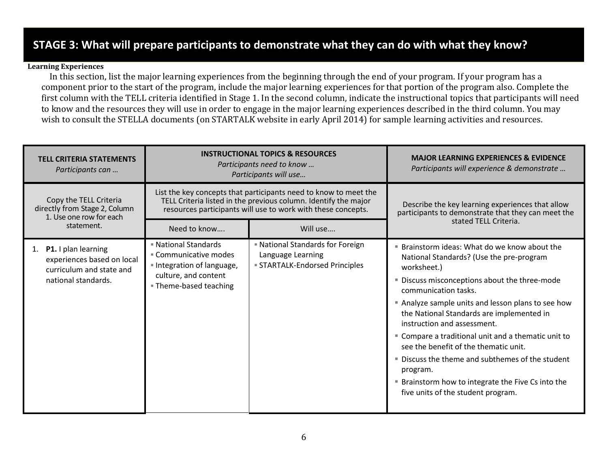## **STAGE 3: What will prepare participants to demonstrate what they can do with what they know?**

#### **Learning Experiences**

In this section, list the major learning experiences from the beginning through the end of your program. If your program has a component prior to the start of the program, include the major learning experiences for that portion of the program also. Complete the first column with the TELL criteria identified in Stage 1. In the second column, indicate the instructional topics that participants will need to know and the resources they will use in order to engage in the major learning experiences described in the third column. You may wish to consult the STELLA documents (on STARTALK website in early April 2014) for sample learning activities and resources.

| <b>TELL CRITERIA STATEMENTS</b><br>Participants can                                                     | <b>INSTRUCTIONAL TOPICS &amp; RESOURCES</b><br>Participants need to know<br>Participants will use                                                                                                   |                                                                                                   | <b>MAJOR LEARNING EXPERIENCES &amp; EVIDENCE</b><br>Participants will experience & demonstrate                                                                                                                                                                                                                                                                                                                                                                                                                                                                                   |  |
|---------------------------------------------------------------------------------------------------------|-----------------------------------------------------------------------------------------------------------------------------------------------------------------------------------------------------|---------------------------------------------------------------------------------------------------|----------------------------------------------------------------------------------------------------------------------------------------------------------------------------------------------------------------------------------------------------------------------------------------------------------------------------------------------------------------------------------------------------------------------------------------------------------------------------------------------------------------------------------------------------------------------------------|--|
| Copy the TELL Criteria<br>directly from Stage 2, Column<br>1. Use one row for each                      | List the key concepts that participants need to know to meet the<br>TELL Criteria listed in the previous column. Identify the major<br>resources participants will use to work with these concepts. |                                                                                                   | Describe the key learning experiences that allow<br>participants to demonstrate that they can meet the                                                                                                                                                                                                                                                                                                                                                                                                                                                                           |  |
| statement.                                                                                              | Need to know                                                                                                                                                                                        | Will use                                                                                          | stated TELL Criteria.                                                                                                                                                                                                                                                                                                                                                                                                                                                                                                                                                            |  |
| 1. P1. I plan learning<br>experiences based on local<br>curriculum and state and<br>national standards. | <b>National Standards</b><br>■ Communicative modes<br>Integration of language,<br>culture, and content<br><b>Theme-based teaching</b>                                                               | <b>National Standards for Foreign</b><br>Language Learning<br><b>STARTALK-Endorsed Principles</b> | ■ Brainstorm ideas: What do we know about the<br>National Standards? (Use the pre-program<br>worksheet.)<br>" Discuss misconceptions about the three-mode<br>communication tasks.<br>Analyze sample units and lesson plans to see how<br>the National Standards are implemented in<br>instruction and assessment.<br>" Compare a traditional unit and a thematic unit to<br>see the benefit of the thematic unit.<br>■ Discuss the theme and subthemes of the student<br>program.<br>Brainstorm how to integrate the Five Cs into the<br>ш<br>five units of the student program. |  |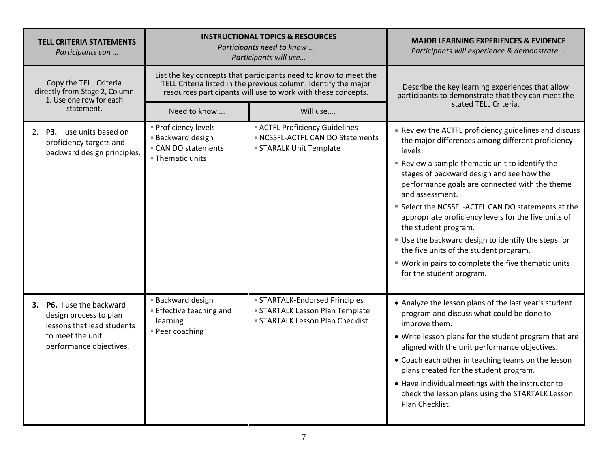| <b>TELL CRITERIA STATEMENTS</b><br>Participants can                                                                              | <b>INSTRUCTIONAL TOPICS &amp; RESOURCES</b><br>Participants need to know<br>Participants will use |                                                                                                                                                                                                     | <b>MAJOR LEARNING EXPERIENCES &amp; EVIDENCE</b><br>Participants will experience & demonstrate                                                                                                                                                                                                                                                                                                                                                                                                                                                                                                                     |
|----------------------------------------------------------------------------------------------------------------------------------|---------------------------------------------------------------------------------------------------|-----------------------------------------------------------------------------------------------------------------------------------------------------------------------------------------------------|--------------------------------------------------------------------------------------------------------------------------------------------------------------------------------------------------------------------------------------------------------------------------------------------------------------------------------------------------------------------------------------------------------------------------------------------------------------------------------------------------------------------------------------------------------------------------------------------------------------------|
| Copy the TELL Criteria<br>directly from Stage 2, Column<br>1. Use one row for each                                               |                                                                                                   | List the key concepts that participants need to know to meet the<br>TELL Criteria listed in the previous column. Identify the major<br>resources participants will use to work with these concepts. | Describe the key learning experiences that allow<br>participants to demonstrate that they can meet the                                                                                                                                                                                                                                                                                                                                                                                                                                                                                                             |
| statement.                                                                                                                       | Need to know                                                                                      | Will use                                                                                                                                                                                            | stated TELL Criteria.                                                                                                                                                                                                                                                                                                                                                                                                                                                                                                                                                                                              |
| 2. P3. I use units based on<br>proficiency targets and<br>backward design principles.                                            | <b>Proficiency levels</b><br><b>Backward design</b><br>■ CAN DO statements<br>■ Thematic units    | <b>ACTFL Proficiency Guidelines</b><br>NCSSFL-ACTFL CAN DO Statements<br><b>STARALK Unit Template</b>                                                                                               | • Review the ACTFL proficiency guidelines and discuss<br>the major differences among different proficiency<br>levels.<br>" Review a sample thematic unit to identify the<br>stages of backward design and see how the<br>performance goals are connected with the theme<br>and assessment.<br>■ Select the NCSSFL-ACTFL CAN DO statements at the<br>appropriate proficiency levels for the five units of<br>the student program.<br>Use the backward design to identify the steps for<br>the five units of the student program.<br>■ Work in pairs to complete the five thematic units<br>for the student program. |
| 3. P6. I use the backward<br>design process to plan<br>lessons that lead students<br>to meet the unit<br>performance objectives. | <b>Backward design</b><br><b>Effective teaching and</b><br>learning<br><b>Peer coaching</b>       | <b>STARTALK-Endorsed Principles</b><br><b>STARTALK Lesson Plan Template</b><br><b>STARTALK Lesson Plan Checklist</b>                                                                                | • Analyze the lesson plans of the last year's student<br>program and discuss what could be done to<br>improve them.<br>• Write lesson plans for the student program that are<br>aligned with the unit performance objectives.<br>• Coach each other in teaching teams on the lesson<br>plans created for the student program.<br>• Have individual meetings with the instructor to<br>check the lesson plans using the STARTALK Lesson<br>Plan Checklist.                                                                                                                                                          |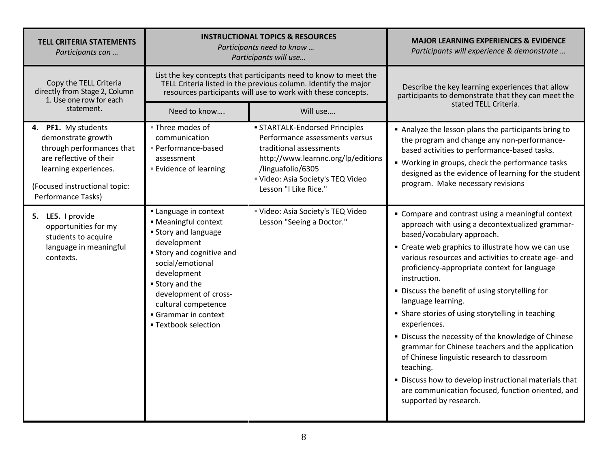| <b>TELL CRITERIA STATEMENTS</b><br>Participants can                                                                                                                               | <b>INSTRUCTIONAL TOPICS &amp; RESOURCES</b><br>Participants need to know<br>Participants will use                                                                                                                                                                                                |                                                                                                                                                                                                                    | <b>MAJOR LEARNING EXPERIENCES &amp; EVIDENCE</b><br>Participants will experience & demonstrate                                                                                                                                                                                                                                                                                                                                                                                                                                                                                                                                                                                                                                                                               |
|-----------------------------------------------------------------------------------------------------------------------------------------------------------------------------------|--------------------------------------------------------------------------------------------------------------------------------------------------------------------------------------------------------------------------------------------------------------------------------------------------|--------------------------------------------------------------------------------------------------------------------------------------------------------------------------------------------------------------------|------------------------------------------------------------------------------------------------------------------------------------------------------------------------------------------------------------------------------------------------------------------------------------------------------------------------------------------------------------------------------------------------------------------------------------------------------------------------------------------------------------------------------------------------------------------------------------------------------------------------------------------------------------------------------------------------------------------------------------------------------------------------------|
| Copy the TELL Criteria<br>directly from Stage 2, Column<br>1. Use one row for each                                                                                                |                                                                                                                                                                                                                                                                                                  | List the key concepts that participants need to know to meet the<br>TELL Criteria listed in the previous column. Identify the major<br>resources participants will use to work with these concepts.                | Describe the key learning experiences that allow<br>participants to demonstrate that they can meet the                                                                                                                                                                                                                                                                                                                                                                                                                                                                                                                                                                                                                                                                       |
| statement.                                                                                                                                                                        | Need to know                                                                                                                                                                                                                                                                                     | Will use                                                                                                                                                                                                           | stated TELL Criteria.                                                                                                                                                                                                                                                                                                                                                                                                                                                                                                                                                                                                                                                                                                                                                        |
| 4. PF1. My students<br>demonstrate growth<br>through performances that<br>are reflective of their<br>learning experiences.<br>(Focused instructional topic:<br>Performance Tasks) | ■ Three modes of<br>communication<br>Performance-based<br>assessment<br><b>Evidence of learning</b>                                                                                                                                                                                              | · STARTALK-Endorsed Principles<br>Performance assessments versus<br>traditional assessments<br>http://www.learnnc.org/lp/editions<br>/linguafolio/6305<br>Uideo: Asia Society's TEQ Video<br>Lesson "I Like Rice." | Analyze the lesson plans the participants bring to<br>the program and change any non-performance-<br>based activities to performance-based tasks.<br>• Working in groups, check the performance tasks<br>designed as the evidence of learning for the student<br>program. Make necessary revisions                                                                                                                                                                                                                                                                                                                                                                                                                                                                           |
| 5. LE5. I provide<br>opportunities for my<br>students to acquire<br>language in meaningful<br>contexts.                                                                           | <b>Language in context</b><br>• Meaningful context<br><b>Story and language</b><br>development<br><b>Story and cognitive and</b><br>social/emotional<br>development<br><b>Story and the</b><br>development of cross-<br>cultural competence<br>Grammar in context<br><b>- Textbook selection</b> | Uideo: Asia Society's TEQ Video<br>Lesson "Seeing a Doctor."                                                                                                                                                       | • Compare and contrast using a meaningful context<br>approach with using a decontextualized grammar-<br>based/vocabulary approach.<br>• Create web graphics to illustrate how we can use<br>various resources and activities to create age- and<br>proficiency-appropriate context for language<br>instruction.<br>. Discuss the benefit of using storytelling for<br>language learning.<br>• Share stories of using storytelling in teaching<br>experiences.<br>. Discuss the necessity of the knowledge of Chinese<br>grammar for Chinese teachers and the application<br>of Chinese linguistic research to classroom<br>teaching.<br>. Discuss how to develop instructional materials that<br>are communication focused, function oriented, and<br>supported by research. |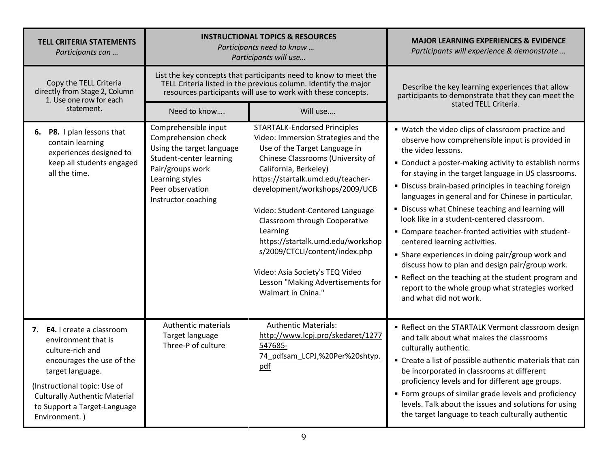| <b>TELL CRITERIA STATEMENTS</b><br>Participants can                                                                                                                                                                                              |                                                                                                                                                                                       | <b>INSTRUCTIONAL TOPICS &amp; RESOURCES</b><br>Participants need to know<br>Participants will use                                                                                                                                                                                                                                                                                                                                                                                               | <b>MAJOR LEARNING EXPERIENCES &amp; EVIDENCE</b><br>Participants will experience & demonstrate                                                                                                                                                                                                                                                                                                                                                                                                                                                                                                                                                                                                                                                                                                    |  |
|--------------------------------------------------------------------------------------------------------------------------------------------------------------------------------------------------------------------------------------------------|---------------------------------------------------------------------------------------------------------------------------------------------------------------------------------------|-------------------------------------------------------------------------------------------------------------------------------------------------------------------------------------------------------------------------------------------------------------------------------------------------------------------------------------------------------------------------------------------------------------------------------------------------------------------------------------------------|---------------------------------------------------------------------------------------------------------------------------------------------------------------------------------------------------------------------------------------------------------------------------------------------------------------------------------------------------------------------------------------------------------------------------------------------------------------------------------------------------------------------------------------------------------------------------------------------------------------------------------------------------------------------------------------------------------------------------------------------------------------------------------------------------|--|
| Copy the TELL Criteria<br>directly from Stage 2, Column<br>1. Use one row for each                                                                                                                                                               |                                                                                                                                                                                       | List the key concepts that participants need to know to meet the<br>TELL Criteria listed in the previous column. Identify the major<br>resources participants will use to work with these concepts.                                                                                                                                                                                                                                                                                             | Describe the key learning experiences that allow<br>participants to demonstrate that they can meet the                                                                                                                                                                                                                                                                                                                                                                                                                                                                                                                                                                                                                                                                                            |  |
| statement.                                                                                                                                                                                                                                       | Need to know                                                                                                                                                                          | Will use                                                                                                                                                                                                                                                                                                                                                                                                                                                                                        | stated TELL Criteria.                                                                                                                                                                                                                                                                                                                                                                                                                                                                                                                                                                                                                                                                                                                                                                             |  |
| 6. P8. I plan lessons that<br>contain learning<br>experiences designed to<br>keep all students engaged<br>all the time.                                                                                                                          | Comprehensible input<br>Comprehension check<br>Using the target language<br>Student-center learning<br>Pair/groups work<br>Learning styles<br>Peer observation<br>Instructor coaching | STARTALK-Endorsed Principles<br>Video: Immersion Strategies and the<br>Use of the Target Language in<br>Chinese Classrooms (University of<br>California, Berkeley)<br>https://startalk.umd.edu/teacher-<br>development/workshops/2009/UCB<br>Video: Student-Centered Language<br>Classroom through Cooperative<br>Learning<br>https://startalk.umd.edu/workshop<br>s/2009/CTCLI/content/index.php<br>Video: Asia Society's TEQ Video<br>Lesson "Making Advertisements for<br>Walmart in China." | • Watch the video clips of classroom practice and<br>observe how comprehensible input is provided in<br>the video lessons.<br>• Conduct a poster-making activity to establish norms<br>for staying in the target language in US classrooms.<br>· Discuss brain-based principles in teaching foreign<br>languages in general and for Chinese in particular.<br>· Discuss what Chinese teaching and learning will<br>look like in a student-centered classroom.<br>- Compare teacher-fronted activities with student-<br>centered learning activities.<br>• Share experiences in doing pair/group work and<br>discuss how to plan and design pair/group work.<br>• Reflect on the teaching at the student program and<br>report to the whole group what strategies worked<br>and what did not work. |  |
| 7. E4. I create a classroom<br>environment that is<br>culture-rich and<br>encourages the use of the<br>target language.<br>(Instructional topic: Use of<br><b>Culturally Authentic Material</b><br>to Support a Target-Language<br>Environment.) | <b>Authentic materials</b><br>Target language<br>Three-P of culture                                                                                                                   | <b>Authentic Materials:</b><br>http://www.lcpj.pro/skedaret/1277<br>547685-<br>74 pdfsam LCPJ,%20Per%20shtyp.<br>pdf                                                                                                                                                                                                                                                                                                                                                                            | Reflect on the STARTALK Vermont classroom design<br>and talk about what makes the classrooms<br>culturally authentic.<br>• Create a list of possible authentic materials that can<br>be incorporated in classrooms at different<br>proficiency levels and for different age groups.<br>• Form groups of similar grade levels and proficiency<br>levels. Talk about the issues and solutions for using<br>the target language to teach culturally authentic                                                                                                                                                                                                                                                                                                                                        |  |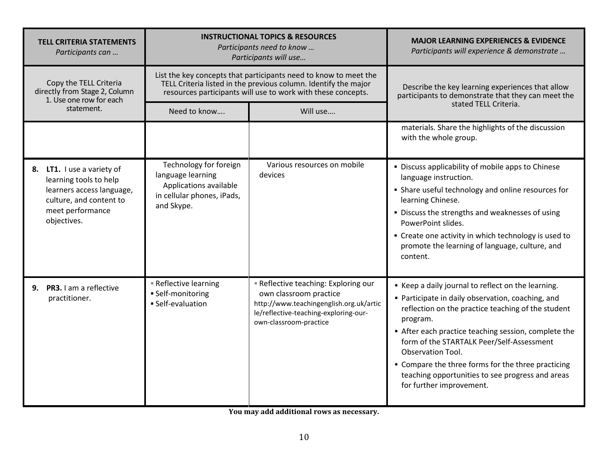| <b>TELL CRITERIA STATEMENTS</b><br>Participants can                                                                                             | <b>INSTRUCTIONAL TOPICS &amp; RESOURCES</b><br>Participants need to know<br>Participants will use                 |                                                                                                                                                                                                     | <b>MAJOR LEARNING EXPERIENCES &amp; EVIDENCE</b><br>Participants will experience & demonstrate                                                                                                                                                                                                                                                                                                                                        |
|-------------------------------------------------------------------------------------------------------------------------------------------------|-------------------------------------------------------------------------------------------------------------------|-----------------------------------------------------------------------------------------------------------------------------------------------------------------------------------------------------|---------------------------------------------------------------------------------------------------------------------------------------------------------------------------------------------------------------------------------------------------------------------------------------------------------------------------------------------------------------------------------------------------------------------------------------|
| Copy the TELL Criteria<br>directly from Stage 2, Column<br>1. Use one row for each                                                              |                                                                                                                   | List the key concepts that participants need to know to meet the<br>TELL Criteria listed in the previous column. Identify the major<br>resources participants will use to work with these concepts. | Describe the key learning experiences that allow<br>participants to demonstrate that they can meet the                                                                                                                                                                                                                                                                                                                                |
| statement.                                                                                                                                      | Need to know                                                                                                      | Will use                                                                                                                                                                                            | stated TELL Criteria.                                                                                                                                                                                                                                                                                                                                                                                                                 |
|                                                                                                                                                 |                                                                                                                   |                                                                                                                                                                                                     | materials. Share the highlights of the discussion<br>with the whole group.                                                                                                                                                                                                                                                                                                                                                            |
| 8. LT1. I use a variety of<br>learning tools to help<br>learners access language,<br>culture, and content to<br>meet performance<br>objectives. | Technology for foreign<br>language learning<br>Applications available<br>in cellular phones, iPads,<br>and Skype. | Various resources on mobile<br>devices                                                                                                                                                              | • Discuss applicability of mobile apps to Chinese<br>language instruction.<br>• Share useful technology and online resources for<br>learning Chinese.<br>· Discuss the strengths and weaknesses of using<br>PowerPoint slides.<br>• Create one activity in which technology is used to<br>promote the learning of language, culture, and<br>content.                                                                                  |
| 9. PR3. I am a reflective<br>practitioner.                                                                                                      | <b>Reflective learning</b><br>• Self-monitoring<br>· Self-evaluation                                              | <b>Reflective teaching: Exploring our</b><br>own classroom practice<br>http://www.teachingenglish.org.uk/artic<br>le/reflective-teaching-exploring-our-<br>own-classroom-practice                   | Keep a daily journal to reflect on the learning.<br>• Participate in daily observation, coaching, and<br>reflection on the practice teaching of the student<br>program.<br>After each practice teaching session, complete the<br>form of the STARTALK Peer/Self-Assessment<br>Observation Tool.<br>• Compare the three forms for the three practicing<br>teaching opportunities to see progress and areas<br>for further improvement. |

**You may add additional rows as necessary.**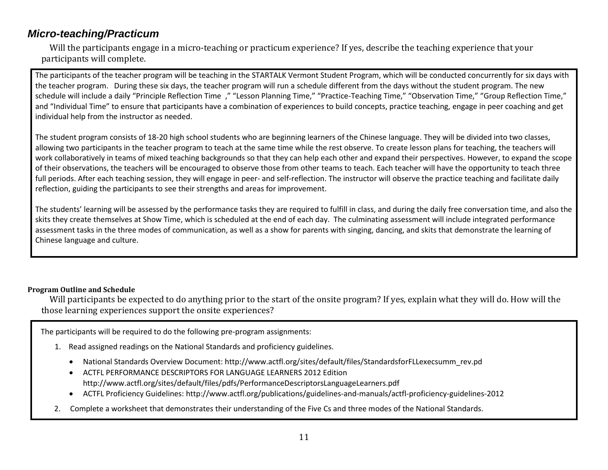### *Micro-teaching/Practicum*

Will the participants engage in a micro-teaching or practicum experience? If yes, describe the teaching experience that your participants will complete.

The participants of the teacher program will be teaching in the STARTALK Vermont Student Program, which will be conducted concurrently for six days with the teacher program. During these six days, the teacher program will run a schedule different from the days without the student program. The new schedule will include a daily "Principle Reflection Time ," "Lesson Planning Time," "Practice-Teaching Time," "Observation Time," "Group Reflection Time," and "Individual Time" to ensure that participants have a combination of experiences to build concepts, practice teaching, engage in peer coaching and get individual help from the instructor as needed.

The student program consists of 18-20 high school students who are beginning learners of the Chinese language. They will be divided into two classes, allowing two participants in the teacher program to teach at the same time while the rest observe. To create lesson plans for teaching, the teachers will work collaboratively in teams of mixed teaching backgrounds so that they can help each other and expand their perspectives. However, to expand the scope of their observations, the teachers will be encouraged to observe those from other teams to teach. Each teacher will have the opportunity to teach three full periods. After each teaching session, they will engage in peer- and self-reflection. The instructor will observe the practice teaching and facilitate daily reflection, guiding the participants to see their strengths and areas for improvement.

The students' learning will be assessed by the performance tasks they are required to fulfill in class, and during the daily free conversation time, and also the skits they create themselves at Show Time, which is scheduled at the end of each day. The culminating assessment will include integrated performance assessment tasks in the three modes of communication, as well as a show for parents with singing, dancing, and skits that demonstrate the learning of Chinese language and culture.

#### **Program Outline and Schedule**

Will participants be expected to do anything prior to the start of the onsite program? If yes, explain what they will do. How will the those learning experiences support the onsite experiences?

The participants will be required to do the following pre-program assignments:

- 1. Read assigned readings on the National Standards and proficiency guidelines.
	- National Standards Overview Document: http://www.actfl.org/sites/default/files/StandardsforFLLexecsumm\_rev.pd
	- ACTFL PERFORMANCE DESCRIPTORS FOR LANGUAGE LEARNERS 2012 Edition http://www.actfl.org/sites/default/files/pdfs/PerformanceDescriptorsLanguageLearners.pdf
	- ACTFL Proficiency Guidelines: http://www.actfl.org/publications/guidelines-and-manuals/actfl-proficiency-guidelines-2012
- 2. Complete a worksheet that demonstrates their understanding of the Five Cs and three modes of the National Standards.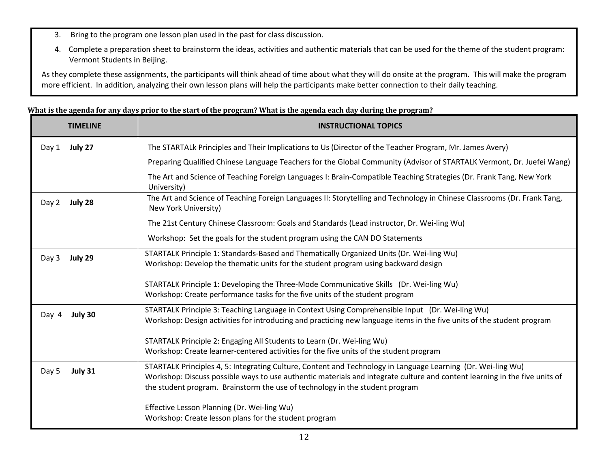- 3. Bring to the program one lesson plan used in the past for class discussion.
- 4. Complete a preparation sheet to brainstorm the ideas, activities and authentic materials that can be used for the theme of the student program: Vermont Students in Beijing.

As they complete these assignments, the participants will think ahead of time about what they will do onsite at the program. This will make the program more efficient. In addition, analyzing their own lesson plans will help the participants make better connection to their daily teaching.

#### **What is the agenda for any days prior to the start of the program? What is the agenda each day during the program?**

| <b>TIMELINE</b>  | <b>INSTRUCTIONAL TOPICS</b>                                                                                                                                                                                                                                                                                                |
|------------------|----------------------------------------------------------------------------------------------------------------------------------------------------------------------------------------------------------------------------------------------------------------------------------------------------------------------------|
| July 27<br>Day 1 | The STARTALk Principles and Their Implications to Us (Director of the Teacher Program, Mr. James Avery)                                                                                                                                                                                                                    |
|                  | Preparing Qualified Chinese Language Teachers for the Global Community (Advisor of STARTALK Vermont, Dr. Juefei Wang)                                                                                                                                                                                                      |
|                  | The Art and Science of Teaching Foreign Languages I: Brain-Compatible Teaching Strategies (Dr. Frank Tang, New York<br>University)                                                                                                                                                                                         |
| Day 2<br>July 28 | The Art and Science of Teaching Foreign Languages II: Storytelling and Technology in Chinese Classrooms (Dr. Frank Tang,<br>New York University)                                                                                                                                                                           |
|                  | The 21st Century Chinese Classroom: Goals and Standards (Lead instructor, Dr. Wei-ling Wu)                                                                                                                                                                                                                                 |
|                  | Workshop: Set the goals for the student program using the CAN DO Statements                                                                                                                                                                                                                                                |
| July 29<br>Day 3 | STARTALK Principle 1: Standards-Based and Thematically Organized Units (Dr. Wei-ling Wu)<br>Workshop: Develop the thematic units for the student program using backward design                                                                                                                                             |
|                  | STARTALK Principle 1: Developing the Three-Mode Communicative Skills (Dr. Wei-ling Wu)<br>Workshop: Create performance tasks for the five units of the student program                                                                                                                                                     |
| July 30<br>Day 4 | STARTALK Principle 3: Teaching Language in Context Using Comprehensible Input (Dr. Wei-ling Wu)<br>Workshop: Design activities for introducing and practicing new language items in the five units of the student program                                                                                                  |
|                  | STARTALK Principle 2: Engaging All Students to Learn (Dr. Wei-ling Wu)<br>Workshop: Create learner-centered activities for the five units of the student program                                                                                                                                                           |
| July 31<br>Day 5 | STARTALK Principles 4, 5: Integrating Culture, Content and Technology in Language Learning (Dr. Wei-ling Wu)<br>Workshop: Discuss possible ways to use authentic materials and integrate culture and content learning in the five units of<br>the student program. Brainstorm the use of technology in the student program |
|                  | Effective Lesson Planning (Dr. Wei-ling Wu)<br>Workshop: Create lesson plans for the student program                                                                                                                                                                                                                       |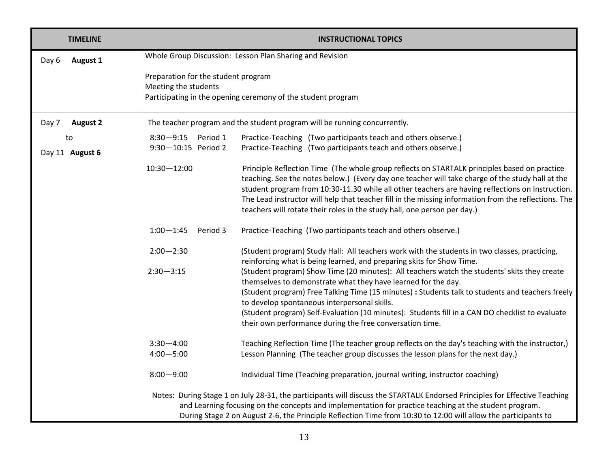| <b>TIMELINE</b>          |                                                          | <b>INSTRUCTIONAL TOPICS</b>                                                                                                                                                                              |  |
|--------------------------|----------------------------------------------------------|----------------------------------------------------------------------------------------------------------------------------------------------------------------------------------------------------------|--|
| Day 6<br><b>August 1</b> | Whole Group Discussion: Lesson Plan Sharing and Revision |                                                                                                                                                                                                          |  |
|                          | Preparation for the student program                      |                                                                                                                                                                                                          |  |
|                          | Meeting the students                                     |                                                                                                                                                                                                          |  |
|                          |                                                          | Participating in the opening ceremony of the student program                                                                                                                                             |  |
| <b>August 2</b><br>Day 7 |                                                          | The teacher program and the student program will be running concurrently.                                                                                                                                |  |
| to                       | 8:30-9:15 Period 1                                       | Practice-Teaching (Two participants teach and others observe.)                                                                                                                                           |  |
| Day 11 August 6          | 9:30-10:15 Period 2                                      | Practice-Teaching (Two participants teach and others observe.)                                                                                                                                           |  |
|                          | $10:30 - 12:00$                                          | Principle Reflection Time (The whole group reflects on STARTALK principles based on practice                                                                                                             |  |
|                          |                                                          | teaching. See the notes below.) (Every day one teacher will take charge of the study hall at the                                                                                                         |  |
|                          |                                                          | student program from 10:30-11.30 while all other teachers are having reflections on Instruction.<br>The Lead instructor will help that teacher fill in the missing information from the reflections. The |  |
|                          |                                                          | teachers will rotate their roles in the study hall, one person per day.)                                                                                                                                 |  |
|                          |                                                          |                                                                                                                                                                                                          |  |
|                          | $1:00 - 1:45$<br>Period 3                                | Practice-Teaching (Two participants teach and others observe.)                                                                                                                                           |  |
|                          | $2:00 - 2:30$                                            | (Student program) Study Hall: All teachers work with the students in two classes, practicing,                                                                                                            |  |
|                          |                                                          | reinforcing what is being learned, and preparing skits for Show Time.                                                                                                                                    |  |
|                          | $2:30 - 3:15$                                            | (Student program) Show Time (20 minutes): All teachers watch the students' skits they create                                                                                                             |  |
|                          |                                                          | themselves to demonstrate what they have learned for the day.                                                                                                                                            |  |
|                          |                                                          | (Student program) Free Talking Time (15 minutes) : Students talk to students and teachers freely<br>to develop spontaneous interpersonal skills.                                                         |  |
|                          |                                                          | (Student program) Self-Evaluation (10 minutes): Students fill in a CAN DO checklist to evaluate                                                                                                          |  |
|                          |                                                          | their own performance during the free conversation time.                                                                                                                                                 |  |
|                          | $3:30 - 4:00$                                            | Teaching Reflection Time (The teacher group reflects on the day's teaching with the instructor,)                                                                                                         |  |
|                          | $4:00 - 5:00$                                            | Lesson Planning (The teacher group discusses the lesson plans for the next day.)                                                                                                                         |  |
|                          | $8:00 - 9:00$                                            | Individual Time (Teaching preparation, journal writing, instructor coaching)                                                                                                                             |  |
|                          |                                                          | Notes: During Stage 1 on July 28-31, the participants will discuss the STARTALK Endorsed Principles for Effective Teaching                                                                               |  |
|                          |                                                          | and Learning focusing on the concepts and implementation for practice teaching at the student program.                                                                                                   |  |
|                          |                                                          | During Stage 2 on August 2-6, the Principle Reflection Time from 10:30 to 12:00 will allow the participants to                                                                                           |  |